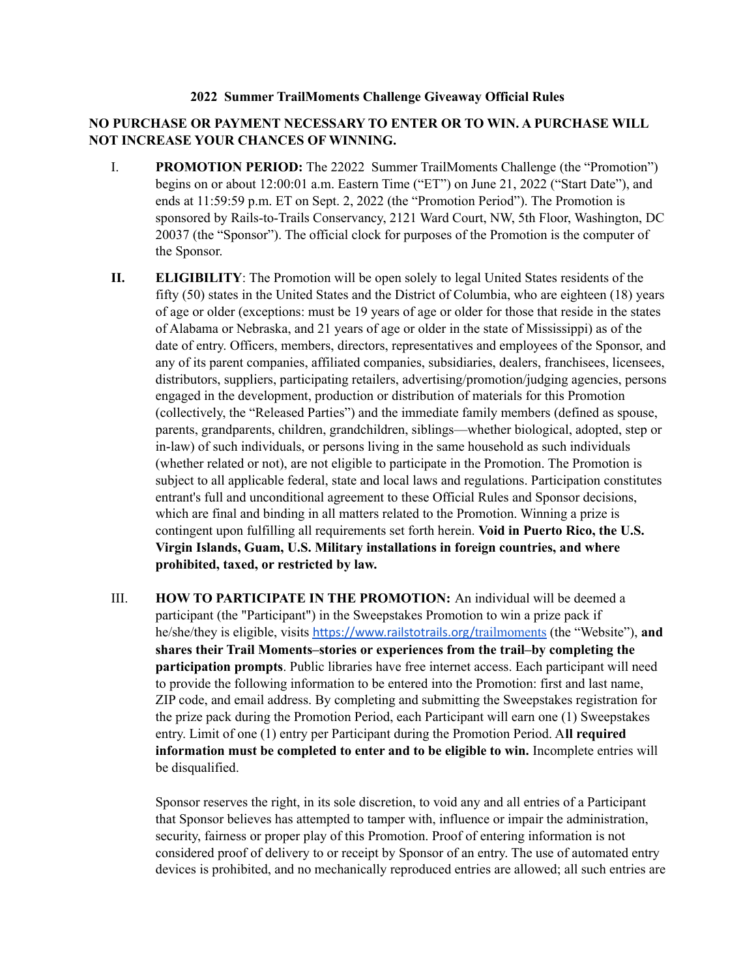## **2022 Summer TrailMoments Challenge Giveaway Official Rules**

## **NO PURCHASE OR PAYMENT NECESSARY TO ENTER OR TO WIN. A PURCHASE WILL NOT INCREASE YOUR CHANCES OF WINNING.**

- I. **PROMOTION PERIOD:** The 22022 Summer TrailMoments Challenge (the "Promotion") begins on or about 12:00:01 a.m. Eastern Time ("ET") on June 21, 2022 ("Start Date"), and ends at 11:59:59 p.m. ET on Sept. 2, 2022 (the "Promotion Period"). The Promotion is sponsored by Rails-to-Trails Conservancy, 2121 Ward Court, NW, 5th Floor, Washington, DC 20037 (the "Sponsor"). The official clock for purposes of the Promotion is the computer of the Sponsor.
- **II. ELIGIBILITY**: The Promotion will be open solely to legal United States residents of the fifty (50) states in the United States and the District of Columbia, who are eighteen (18) years of age or older (exceptions: must be 19 years of age or older for those that reside in the states of Alabama or Nebraska, and 21 years of age or older in the state of Mississippi) as of the date of entry. Officers, members, directors, representatives and employees of the Sponsor, and any of its parent companies, affiliated companies, subsidiaries, dealers, franchisees, licensees, distributors, suppliers, participating retailers, advertising/promotion/judging agencies, persons engaged in the development, production or distribution of materials for this Promotion (collectively, the "Released Parties") and the immediate family members (defined as spouse, parents, grandparents, children, grandchildren, siblings—whether biological, adopted, step or in-law) of such individuals, or persons living in the same household as such individuals (whether related or not), are not eligible to participate in the Promotion. The Promotion is subject to all applicable federal, state and local laws and regulations. Participation constitutes entrant's full and unconditional agreement to these Official Rules and Sponsor decisions, which are final and binding in all matters related to the Promotion. Winning a prize is contingent upon fulfilling all requirements set forth herein. **Void in Puerto Rico, the U.S. Virgin Islands, Guam, U.S. Military installations in foreign countries, and where prohibited, taxed, or restricted by law.**
- III. **HOW TO PARTICIPATE IN THE PROMOTION:** An individual will be deemed a participant (the "Participant") in the Sweepstakes Promotion to win a prize pack if he/she/they is eligible, visits [https://www.railstotrails.org/](https://www.railstotrails.org/experience-trails/opening-day-for-trails/)trailmoments (the "Website"), **and shares their Trail Moments–stories or experiences from the trail–by completing the participation prompts**. Public libraries have free internet access. Each participant will need to provide the following information to be entered into the Promotion: first and last name, ZIP code, and email address. By completing and submitting the Sweepstakes registration for the prize pack during the Promotion Period, each Participant will earn one (1) Sweepstakes entry. Limit of one (1) entry per Participant during the Promotion Period. A**ll required information must be completed to enter and to be eligible to win.** Incomplete entries will be disqualified.

Sponsor reserves the right, in its sole discretion, to void any and all entries of a Participant that Sponsor believes has attempted to tamper with, influence or impair the administration, security, fairness or proper play of this Promotion. Proof of entering information is not considered proof of delivery to or receipt by Sponsor of an entry. The use of automated entry devices is prohibited, and no mechanically reproduced entries are allowed; all such entries are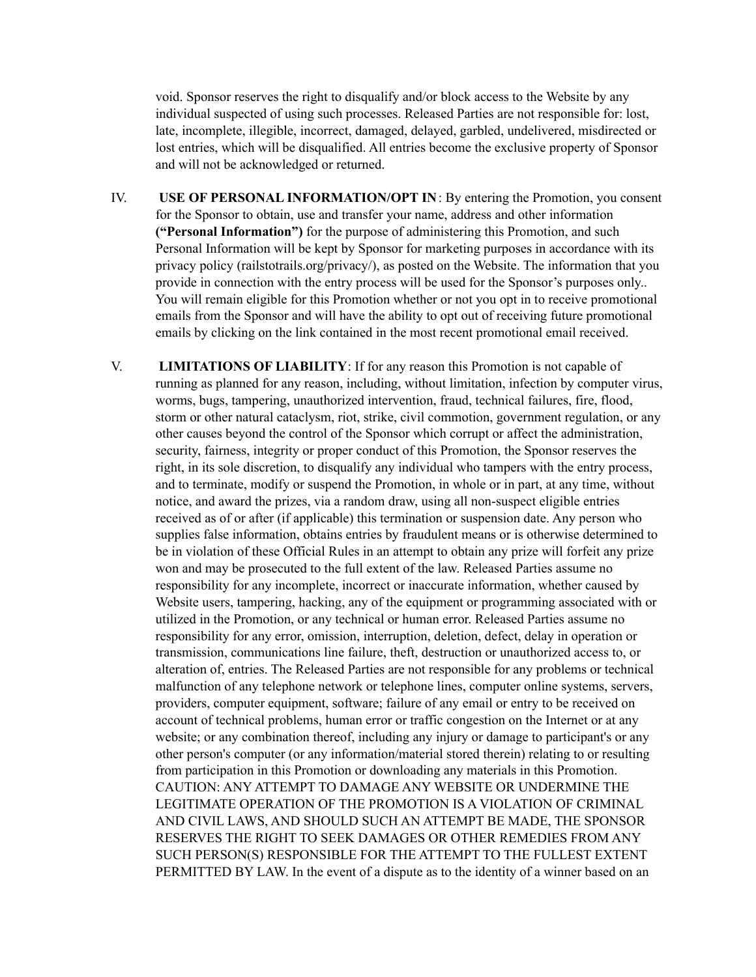void. Sponsor reserves the right to disqualify and/or block access to the Website by any individual suspected of using such processes. Released Parties are not responsible for: lost, late, incomplete, illegible, incorrect, damaged, delayed, garbled, undelivered, misdirected or lost entries, which will be disqualified. All entries become the exclusive property of Sponsor and will not be acknowledged or returned.

- IV. **USE OF PERSONAL INFORMATION/OPT IN**: By entering the Promotion, you consent for the Sponsor to obtain, use and transfer your name, address and other information **("Personal Information")** for the purpose of administering this Promotion, and such Personal Information will be kept by Sponsor for marketing purposes in accordance with its privacy policy (railstotrails.org/privacy/), as posted on the Website. The information that you provide in connection with the entry process will be used for the Sponsor's purposes only.. You will remain eligible for this Promotion whether or not you opt in to receive promotional emails from the Sponsor and will have the ability to opt out of receiving future promotional emails by clicking on the link contained in the most recent promotional email received.
- V. **LIMITATIONS OF LIABILITY**: If for any reason this Promotion is not capable of running as planned for any reason, including, without limitation, infection by computer virus, worms, bugs, tampering, unauthorized intervention, fraud, technical failures, fire, flood, storm or other natural cataclysm, riot, strike, civil commotion, government regulation, or any other causes beyond the control of the Sponsor which corrupt or affect the administration, security, fairness, integrity or proper conduct of this Promotion, the Sponsor reserves the right, in its sole discretion, to disqualify any individual who tampers with the entry process, and to terminate, modify or suspend the Promotion, in whole or in part, at any time, without notice, and award the prizes, via a random draw, using all non-suspect eligible entries received as of or after (if applicable) this termination or suspension date. Any person who supplies false information, obtains entries by fraudulent means or is otherwise determined to be in violation of these Official Rules in an attempt to obtain any prize will forfeit any prize won and may be prosecuted to the full extent of the law. Released Parties assume no responsibility for any incomplete, incorrect or inaccurate information, whether caused by Website users, tampering, hacking, any of the equipment or programming associated with or utilized in the Promotion, or any technical or human error. Released Parties assume no responsibility for any error, omission, interruption, deletion, defect, delay in operation or transmission, communications line failure, theft, destruction or unauthorized access to, or alteration of, entries. The Released Parties are not responsible for any problems or technical malfunction of any telephone network or telephone lines, computer online systems, servers, providers, computer equipment, software; failure of any email or entry to be received on account of technical problems, human error or traffic congestion on the Internet or at any website; or any combination thereof, including any injury or damage to participant's or any other person's computer (or any information/material stored therein) relating to or resulting from participation in this Promotion or downloading any materials in this Promotion. CAUTION: ANY ATTEMPT TO DAMAGE ANY WEBSITE OR UNDERMINE THE LEGITIMATE OPERATION OF THE PROMOTION IS A VIOLATION OF CRIMINAL AND CIVIL LAWS, AND SHOULD SUCH AN ATTEMPT BE MADE, THE SPONSOR RESERVES THE RIGHT TO SEEK DAMAGES OR OTHER REMEDIES FROM ANY SUCH PERSON(S) RESPONSIBLE FOR THE ATTEMPT TO THE FULLEST EXTENT PERMITTED BY LAW. In the event of a dispute as to the identity of a winner based on an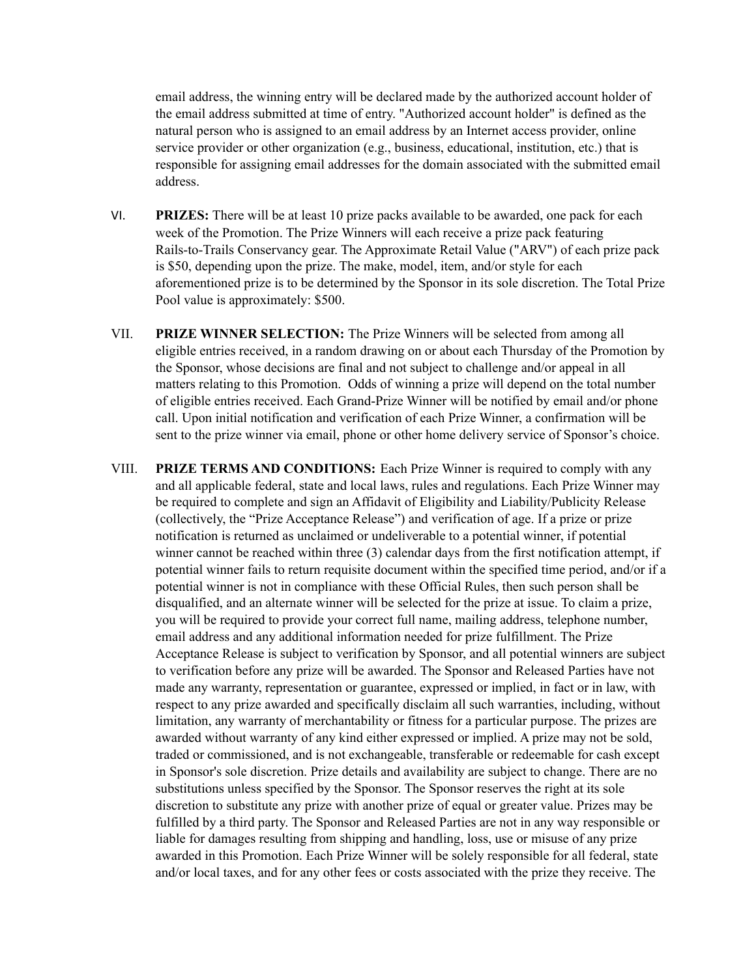email address, the winning entry will be declared made by the authorized account holder of the email address submitted at time of entry. "Authorized account holder" is defined as the natural person who is assigned to an email address by an Internet access provider, online service provider or other organization (e.g., business, educational, institution, etc.) that is responsible for assigning email addresses for the domain associated with the submitted email address.

- VI. **PRIZES:** There will be at least 10 prize packs available to be awarded, one pack for each week of the Promotion. The Prize Winners will each receive a prize pack featuring Rails-to-Trails Conservancy gear. The Approximate Retail Value ("ARV") of each prize pack is \$50, depending upon the prize. The make, model, item, and/or style for each aforementioned prize is to be determined by the Sponsor in its sole discretion. The Total Prize Pool value is approximately: \$500.
- VII. **PRIZE WINNER SELECTION:** The Prize Winners will be selected from among all eligible entries received, in a random drawing on or about each Thursday of the Promotion by the Sponsor, whose decisions are final and not subject to challenge and/or appeal in all matters relating to this Promotion. Odds of winning a prize will depend on the total number of eligible entries received. Each Grand-Prize Winner will be notified by email and/or phone call. Upon initial notification and verification of each Prize Winner, a confirmation will be sent to the prize winner via email, phone or other home delivery service of Sponsor's choice.
- VIII. **PRIZE TERMS AND CONDITIONS:** Each Prize Winner is required to comply with any and all applicable federal, state and local laws, rules and regulations. Each Prize Winner may be required to complete and sign an Affidavit of Eligibility and Liability/Publicity Release (collectively, the "Prize Acceptance Release") and verification of age. If a prize or prize notification is returned as unclaimed or undeliverable to a potential winner, if potential winner cannot be reached within three (3) calendar days from the first notification attempt, if potential winner fails to return requisite document within the specified time period, and/or if a potential winner is not in compliance with these Official Rules, then such person shall be disqualified, and an alternate winner will be selected for the prize at issue. To claim a prize, you will be required to provide your correct full name, mailing address, telephone number, email address and any additional information needed for prize fulfillment. The Prize Acceptance Release is subject to verification by Sponsor, and all potential winners are subject to verification before any prize will be awarded. The Sponsor and Released Parties have not made any warranty, representation or guarantee, expressed or implied, in fact or in law, with respect to any prize awarded and specifically disclaim all such warranties, including, without limitation, any warranty of merchantability or fitness for a particular purpose. The prizes are awarded without warranty of any kind either expressed or implied. A prize may not be sold, traded or commissioned, and is not exchangeable, transferable or redeemable for cash except in Sponsor's sole discretion. Prize details and availability are subject to change. There are no substitutions unless specified by the Sponsor. The Sponsor reserves the right at its sole discretion to substitute any prize with another prize of equal or greater value. Prizes may be fulfilled by a third party. The Sponsor and Released Parties are not in any way responsible or liable for damages resulting from shipping and handling, loss, use or misuse of any prize awarded in this Promotion. Each Prize Winner will be solely responsible for all federal, state and/or local taxes, and for any other fees or costs associated with the prize they receive. The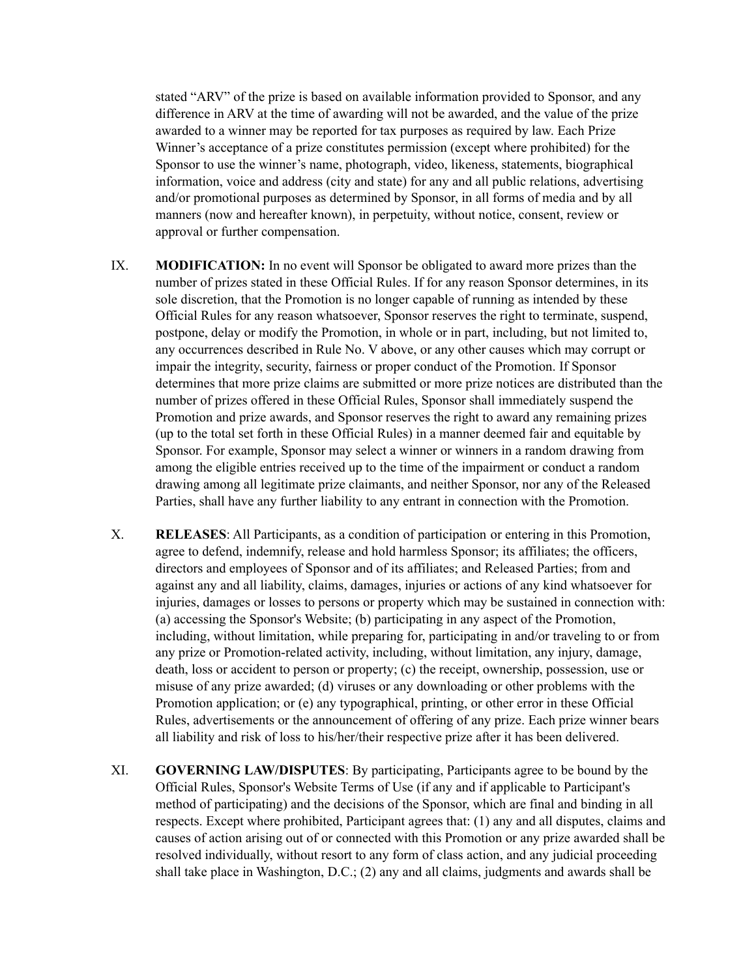stated "ARV" of the prize is based on available information provided to Sponsor, and any difference in ARV at the time of awarding will not be awarded, and the value of the prize awarded to a winner may be reported for tax purposes as required by law. Each Prize Winner's acceptance of a prize constitutes permission (except where prohibited) for the Sponsor to use the winner's name, photograph, video, likeness, statements, biographical information, voice and address (city and state) for any and all public relations, advertising and/or promotional purposes as determined by Sponsor, in all forms of media and by all manners (now and hereafter known), in perpetuity, without notice, consent, review or approval or further compensation.

- IX. **MODIFICATION:** In no event will Sponsor be obligated to award more prizes than the number of prizes stated in these Official Rules. If for any reason Sponsor determines, in its sole discretion, that the Promotion is no longer capable of running as intended by these Official Rules for any reason whatsoever, Sponsor reserves the right to terminate, suspend, postpone, delay or modify the Promotion, in whole or in part, including, but not limited to, any occurrences described in Rule No. V above, or any other causes which may corrupt or impair the integrity, security, fairness or proper conduct of the Promotion. If Sponsor determines that more prize claims are submitted or more prize notices are distributed than the number of prizes offered in these Official Rules, Sponsor shall immediately suspend the Promotion and prize awards, and Sponsor reserves the right to award any remaining prizes (up to the total set forth in these Official Rules) in a manner deemed fair and equitable by Sponsor. For example, Sponsor may select a winner or winners in a random drawing from among the eligible entries received up to the time of the impairment or conduct a random drawing among all legitimate prize claimants, and neither Sponsor, nor any of the Released Parties, shall have any further liability to any entrant in connection with the Promotion.
- X. **RELEASES**: All Participants, as a condition of participation or entering in this Promotion, agree to defend, indemnify, release and hold harmless Sponsor; its affiliates; the officers, directors and employees of Sponsor and of its affiliates; and Released Parties; from and against any and all liability, claims, damages, injuries or actions of any kind whatsoever for injuries, damages or losses to persons or property which may be sustained in connection with: (a) accessing the Sponsor's Website; (b) participating in any aspect of the Promotion, including, without limitation, while preparing for, participating in and/or traveling to or from any prize or Promotion-related activity, including, without limitation, any injury, damage, death, loss or accident to person or property; (c) the receipt, ownership, possession, use or misuse of any prize awarded; (d) viruses or any downloading or other problems with the Promotion application; or (e) any typographical, printing, or other error in these Official Rules, advertisements or the announcement of offering of any prize. Each prize winner bears all liability and risk of loss to his/her/their respective prize after it has been delivered.
- XI. **GOVERNING LAW/DISPUTES**: By participating, Participants agree to be bound by the Official Rules, Sponsor's Website Terms of Use (if any and if applicable to Participant's method of participating) and the decisions of the Sponsor, which are final and binding in all respects. Except where prohibited, Participant agrees that: (1) any and all disputes, claims and causes of action arising out of or connected with this Promotion or any prize awarded shall be resolved individually, without resort to any form of class action, and any judicial proceeding shall take place in Washington, D.C.; (2) any and all claims, judgments and awards shall be